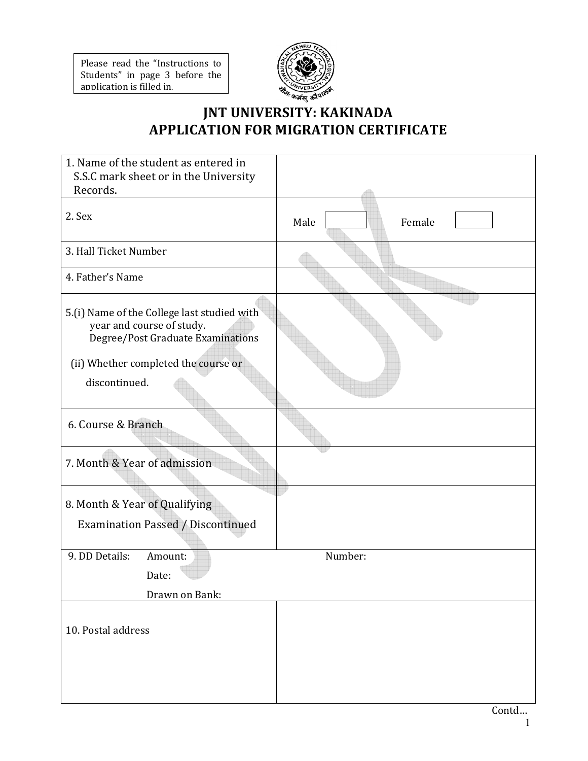Please read the "Instructions to Students" in page 3 before the application is filled in.



# JNT UNIVERSITY: KAKINADA APPLICATION FOR MIGRATION CERTIFICATE

| 1. Name of the student as entered in                                                                          |                |
|---------------------------------------------------------------------------------------------------------------|----------------|
| S.S.C mark sheet or in the University                                                                         |                |
| Records.                                                                                                      |                |
| 2. Sex                                                                                                        | Male<br>Female |
| 3. Hall Ticket Number                                                                                         |                |
| 4. Father's Name                                                                                              |                |
| 5.(i) Name of the College last studied with<br>year and course of study.<br>Degree/Post Graduate Examinations |                |
| (ii) Whether completed the course or<br>discontinued.                                                         |                |
| 6. Course & Branch                                                                                            |                |
| 7. Month & Year of admission                                                                                  |                |
| 8. Month & Year of Qualifying                                                                                 |                |
| <b>Examination Passed / Discontinued</b>                                                                      |                |
| 9. DD Details:<br>Amount:<br>Date:                                                                            | Number:        |
| Drawn on Bank:                                                                                                |                |
|                                                                                                               |                |
| 10. Postal address                                                                                            |                |
|                                                                                                               |                |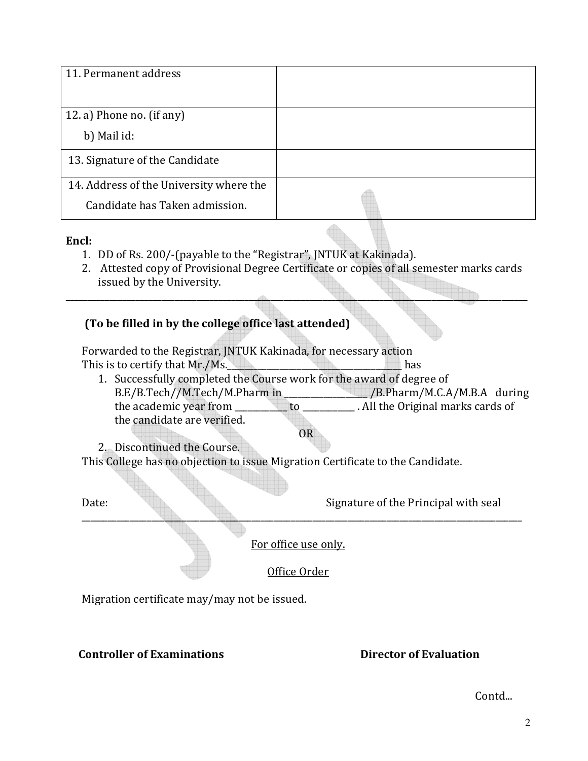| 11. Permanent address                   |  |
|-----------------------------------------|--|
| 12. a) Phone no. (if any)               |  |
| b) Mail id:                             |  |
| 13. Signature of the Candidate          |  |
| 14. Address of the University where the |  |
| Candidate has Taken admission.          |  |

#### Encl:

- 1. DD of Rs. 200/-(payable to the "Registrar", JNTUK at Kakinada).
- 2. Attested copy of Provisional Degree Certificate or copies of all semester marks cards issued by the University.

\_\_\_\_\_\_\_\_\_\_\_\_\_\_\_\_\_\_\_\_\_\_\_\_\_\_\_\_\_\_\_\_\_\_\_\_\_\_\_\_\_\_\_\_\_\_\_\_\_\_\_\_\_\_\_\_\_\_\_\_\_\_\_\_\_\_\_\_\_\_\_\_\_\_\_\_\_\_\_\_\_\_\_\_\_\_\_\_\_\_\_\_\_\_\_\_\_\_\_\_\_\_\_\_\_\_

## (To be filled in by the college office last attended)

Forwarded to the Registrar, JNTUK Kakinada, for necessary action This is to certify that Mr./Ms. This is to certify that Mr./Ms.

1. Successfully completed the Course work for the award of degree of B.E/B.Tech//M.Tech/M.Pharm in \_\_\_\_\_\_\_\_\_\_\_\_\_\_\_\_\_\_\_ /B.Pharm/M.C.A/M.B.A during the academic year from \_\_\_\_\_\_\_\_\_\_\_\_ to \_\_\_\_\_\_\_\_\_\_\_\_ . All the Original marks cards of the candidate are verified. OR

2. Discontinued the Course.

This College has no objection to issue Migration Certificate to the Candidate.

Date: Signature of the Principal with seal

For office use only.

\_\_\_\_\_\_\_\_\_\_\_\_\_\_\_\_\_\_\_\_\_\_\_\_\_\_\_\_\_\_\_\_\_\_\_\_\_\_\_\_\_\_\_\_\_\_\_\_\_\_\_\_\_\_\_\_\_\_\_\_\_\_\_\_\_\_\_\_\_\_\_\_\_\_\_\_\_\_\_\_\_\_\_\_\_\_\_\_\_\_\_\_\_\_\_\_\_\_\_\_\_

Office Order

Migration certificate may/may not be issued.

### Controller of Examinations **Examinations** Director of Evaluation

Contd...